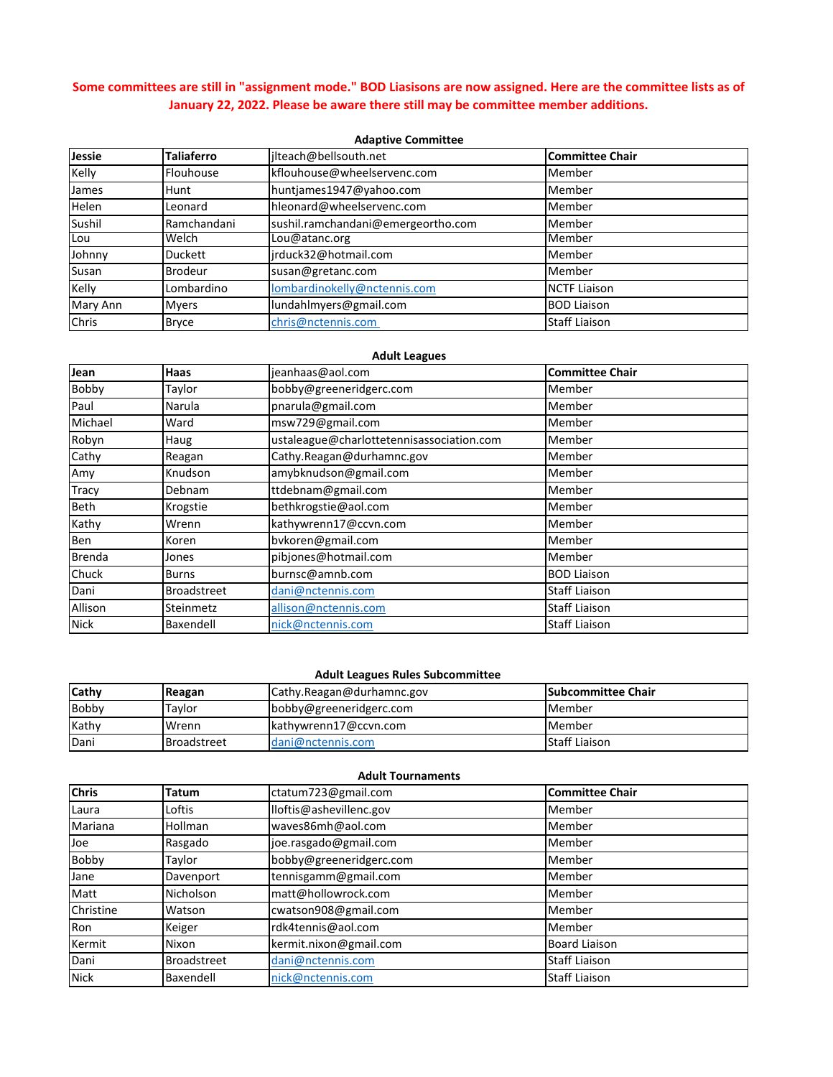# **Some committees are still in "assignment mode." BOD Liasisons are now assigned. Here are the committee lists as of January 22, 2022. Please be aware there still may be committee member additions.**

#### **Adaptive Committee**

| Jessie       | Taliaferro     | jlteach@bellsouth.net              | <b>Committee Chair</b> |
|--------------|----------------|------------------------------------|------------------------|
| Kelly        | Flouhouse      | kflouhouse@wheelservenc.com        | Member                 |
| James        | Hunt           | huntjames1947@yahoo.com            | Member                 |
| <b>Helen</b> | Leonard        | hleonard@wheelservenc.com          | Member                 |
| Sushil       | Ramchandani    | sushil.ramchandani@emergeortho.com | Member                 |
| Lou          | Welch          | Lou@atanc.org                      | Member                 |
| Johnny       | Duckett        | jrduck32@hotmail.com               | Member                 |
| Susan        | <b>Brodeur</b> | susan@gretanc.com                  | Member                 |
| Kelly        | Lombardino     | lombardinokelly@nctennis.com       | <b>NCTF Liaison</b>    |
| Mary Ann     | <b>Myers</b>   | lundahlmyers@gmail.com             | <b>BOD Liaison</b>     |
| Chris        | <b>Bryce</b>   | chris@nctennis.com                 | <b>Staff Liaison</b>   |

### **Adult Leagues**

| Jean         | Haas               | jeanhaas@aol.com                          | <b>Committee Chair</b> |
|--------------|--------------------|-------------------------------------------|------------------------|
| Bobby        | Taylor             | bobby@greeneridgerc.com                   | Member                 |
| Paul         | Narula             | pnarula@gmail.com                         | Member                 |
| Michael      | Ward               | msw729@gmail.com                          | Member                 |
| Robyn        | Haug               | ustaleague@charlottetennisassociation.com | Member                 |
| Cathy        | Reagan             | Cathy.Reagan@durhamnc.gov                 | Member                 |
| Amy          | Knudson            | amybknudson@gmail.com                     | Member                 |
| <b>Tracy</b> | Debnam             | ttdebnam@gmail.com                        | Member                 |
| Beth         | Krogstie           | bethkrogstie@aol.com                      | Member                 |
| Kathy        | Wrenn              | kathywrenn17@ccvn.com                     | Member                 |
| Ben          | Koren              | bvkoren@gmail.com                         | Member                 |
| Brenda       | Jones              | pibjones@hotmail.com                      | Member                 |
| Chuck        | Burns              | burnsc@amnb.com                           | <b>BOD Liaison</b>     |
| Dani         | <b>Broadstreet</b> | dani@nctennis.com                         | <b>Staff Liaison</b>   |
| Allison      | Steinmetz          | allison@nctennis.com                      | <b>Staff Liaison</b>   |
| <b>Nick</b>  | Baxendell          | nick@nctennis.com                         | <b>Staff Liaison</b>   |

### **Adult Leagues Rules Subcommittee**

| Cathy        | Reagan             | Cathy.Reagan@durhamnc.gov     | <b>Subcommittee Chair</b> |
|--------------|--------------------|-------------------------------|---------------------------|
| <b>Bobby</b> | Tavlor             | bobby@greeneridgerc.com       | l Member                  |
| Kathy        | Wrenn              | kathywrenn17@ccvn.com         | Member                    |
| Dani         | <b>Broadstreet</b> | $\mathsf{d}$ ani@nctennis.com | <b>Staff Liaison</b>      |

### **Adult Tournaments**

| <b>Chris</b> | <b>Tatum</b>       | ctatum723@gmail.com     | <b>Committee Chair</b> |
|--------------|--------------------|-------------------------|------------------------|
| Laura        | Loftis             | lloftis@ashevillenc.gov | Member                 |
| Mariana      | Hollman            | waves86mh@aol.com       | Member                 |
| Joe          | Rasgado            | joe.rasgado@gmail.com   | Member                 |
| Bobby        | Taylor             | bobby@greeneridgerc.com | Member                 |
| Jane         | Davenport          | tennisgamm@gmail.com    | Member                 |
| Matt         | Nicholson          | matt@hollowrock.com     | Member                 |
| Christine    | Watson             | cwatson908@gmail.com    | Member                 |
| Ron          | Keiger             | rdk4tennis@aol.com      | Member                 |
| Kermit       | Nixon              | kermit.nixon@gmail.com  | <b>Board Liaison</b>   |
| Dani         | <b>Broadstreet</b> | dani@nctennis.com       | <b>Staff Liaison</b>   |
| <b>Nick</b>  | Baxendell          | nick@nctennis.com       | <b>Staff Liaison</b>   |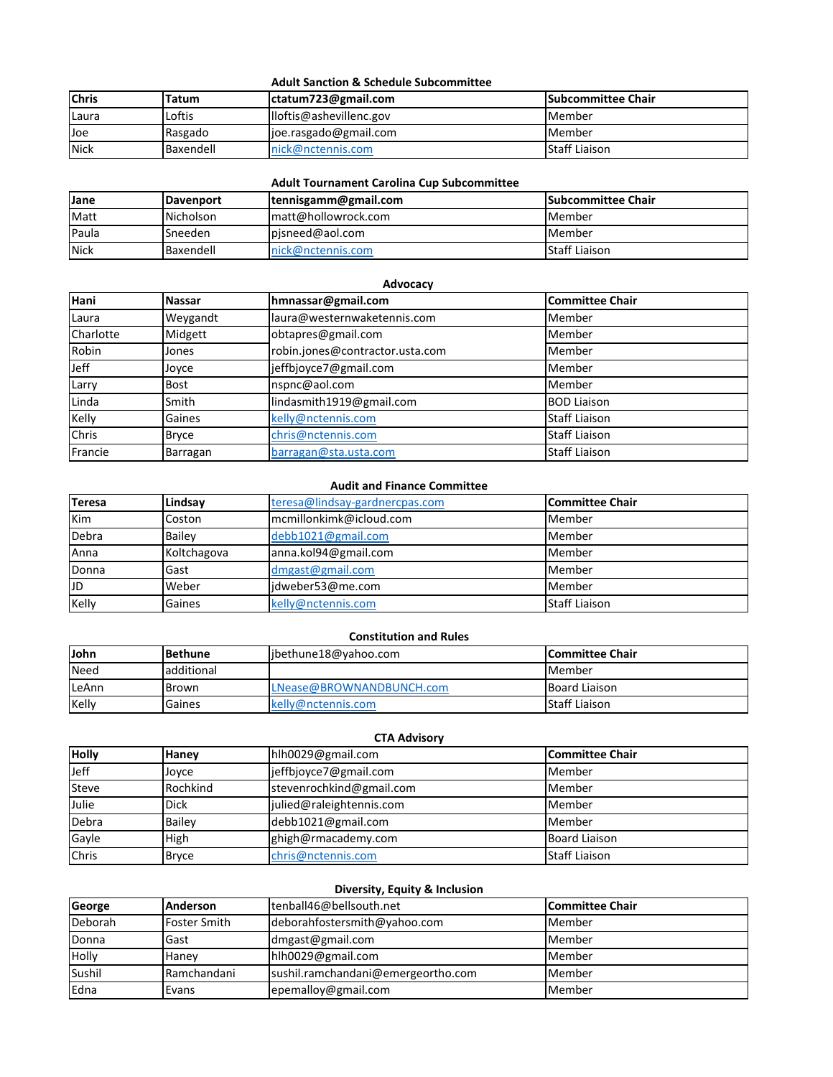### **Adult Sanction & Schedule Subcommittee**

| <b>Chris</b> | Tatum     | ctatum723@gmail.com     | <b>ISubcommittee Chair</b> |
|--------------|-----------|-------------------------|----------------------------|
| Laura        | Loftis    | lloftis@ashevillenc.gov | Member                     |
| Joe          | Rasgado   | joe.rasgado@gmail.com   | <b>I</b> Member            |
| <b>Nick</b>  | Baxendell | Inick@nctennis.com      | Staff Liaison              |

# **Adult Tournament Carolina Cup Subcommittee**

| <b>Jane</b>  | <b>IDavenport</b> | tennisgamm@gmail.com | <b>Subcommittee Chair</b> |
|--------------|-------------------|----------------------|---------------------------|
| Matt         | Nicholson         | Imatt@hollowrock.com | Member                    |
| <b>Paula</b> | Sneeden           | pisneed@aol.com      | Member                    |
| <b>Nick</b>  | Baxendell         | nick@nctennis.com    | Staff Liaison             |

### **Advocacy**

| Hani      | <b>Nassar</b> | hmnassar@gmail.com              | <b>Committee Chair</b> |
|-----------|---------------|---------------------------------|------------------------|
| Laura     | Weygandt      | laura@westernwaketennis.com     | Member                 |
| Charlotte | Midgett       | obtapres@gmail.com              | Member                 |
| Robin     | Jones         | robin.jones@contractor.usta.com | Member                 |
| Jeff      | Joyce         | jeffbjoyce7@gmail.com           | Member                 |
| Larry     | <b>Bost</b>   | nspnc@aol.com                   | Member                 |
| Linda     | Smith         | lindasmith1919@gmail.com        | <b>BOD Liaison</b>     |
| Kelly     | Gaines        | kelly@nctennis.com              | <b>Staff Liaison</b>   |
| Chris     | <b>Bryce</b>  | chris@nctennis.com              | <b>Staff Liaison</b>   |
| Francie   | Barragan      | barragan@sta.usta.com           | <b>Staff Liaison</b>   |

#### **Audit and Finance Committee**

| <b>Teresa</b> | Lindsav       | teresa@lindsay-gardnercpas.com | Committee Chair      |
|---------------|---------------|--------------------------------|----------------------|
| Kim           | Coston        | mcmillonkimk@icloud.com        | Member               |
| Debra         | <b>Bailey</b> | $debb1021$ @gmail.com          | Member               |
| Anna          | Koltchagova   | anna.kol94@gmail.com           | Member               |
| Donna         | Gast          | dmgast@gmail.com               | Member               |
| JD            | Weber         | jdweber53@me.com               | Member               |
| Kelly         | Gaines        | kelly@nctennis.com             | <b>Staff Liaison</b> |

# **Constitution and Rules**

| <b>John</b> | <b>Bethune</b> | jbethune18@yahoo.com     | <b>ICommittee Chair</b> |
|-------------|----------------|--------------------------|-------------------------|
| <b>Need</b> | additional     |                          | Member                  |
| LeAnn       | Brown          | LNease@BROWNANDBUNCH.com | Board Liaison           |
| Kelly       | Gaines         | kelly@nctennis.com       | <b>Staff Liaison</b>    |

### **CTA Advisory**

| <b>Holly</b> | Hanev         | hlh0029@gmail.com        | lCommittee Chair     |
|--------------|---------------|--------------------------|----------------------|
| Jeff         | Jovce         | jeffbjoyce7@gmail.com    | Member               |
| Steve        | Rochkind      | stevenrochkind@gmail.com | Member               |
| Julie        | <b>Dick</b>   | julied@raleightennis.com | Member               |
| Debra        | <b>Bailev</b> | debb1021@gmail.com       | Member               |
| Gayle        | High          | ghigh@rmacademy.com      | <b>Board Liaison</b> |
| Chris        | <b>Bryce</b>  | chris@nctennis.com       | <b>Staff Liaison</b> |

# **Diversity, Equity & Inclusion**

| George  | <b>Anderson</b>     | tenball46@bellsouth.net            | Committee Chair |
|---------|---------------------|------------------------------------|-----------------|
| Deborah | <b>Foster Smith</b> | deborahfostersmith@yahoo.com       | Member          |
| Donna   | Gast                | dmgast@gmail.com                   | Member          |
| Holly   | Hanev               | hlh0029@gmail.com                  | Member          |
| Sushil  | Ramchandani         | sushil.ramchandani@emergeortho.com | Member          |
| Edna    | Evans               | epemalloy@gmail.com                | Member          |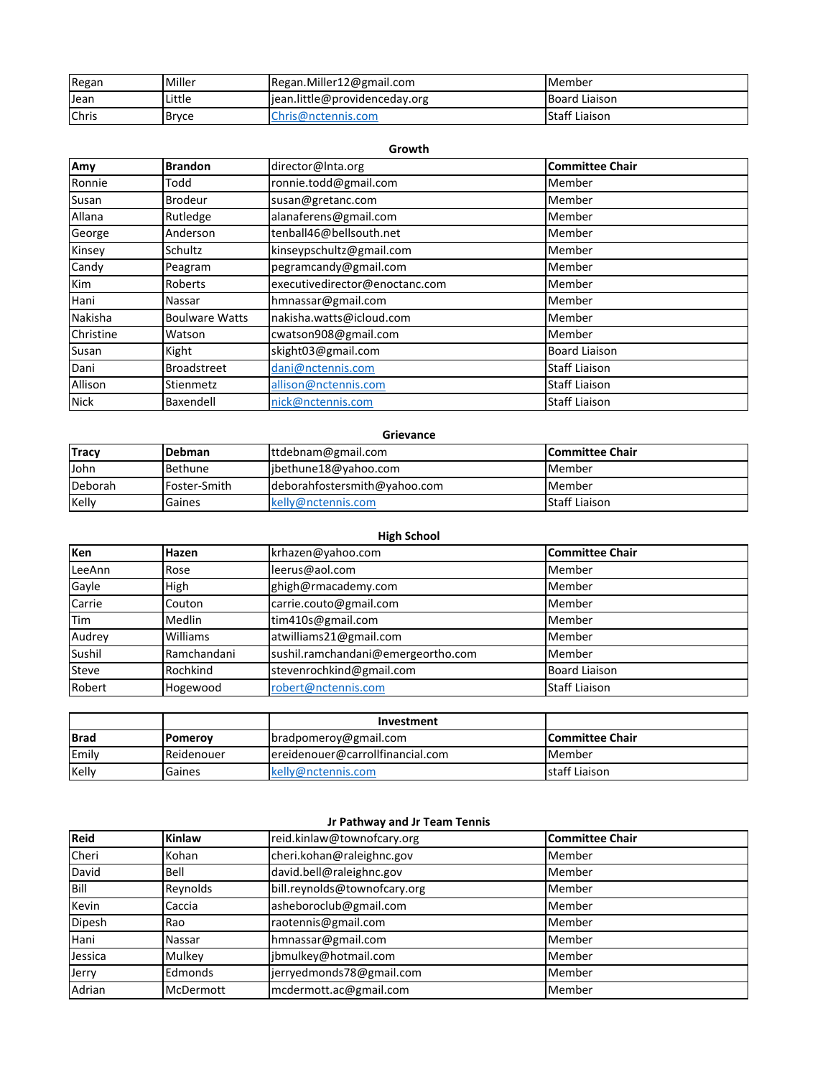| Regan | Miller       | Regan.Miller12@gmail.com       | Member               |
|-------|--------------|--------------------------------|----------------------|
| Jean  | Little       | ljean.little@providenceday.org | <b>Board Liaison</b> |
| Chris | <b>Bryce</b> | Chris@nctennis.com             | <b>Staff Liaison</b> |

| Growth      |                       |                                |                        |  |
|-------------|-----------------------|--------------------------------|------------------------|--|
| Amy         | <b>Brandon</b>        | director@Inta.org              | <b>Committee Chair</b> |  |
| Ronnie      | Todd                  | ronnie.todd@gmail.com          | Member                 |  |
| Susan       | <b>Brodeur</b>        | susan@gretanc.com              | Member                 |  |
| Allana      | Rutledge              | alanaferens@gmail.com          | Member                 |  |
| George      | Anderson              | tenball46@bellsouth.net        | Member                 |  |
| Kinsey      | Schultz               | kinseypschultz@gmail.com       | Member                 |  |
| Candy       | Peagram               | pegramcandy@gmail.com          | Member                 |  |
| Kim         | Roberts               | executivedirector@enoctanc.com | Member                 |  |
| Hani        | Nassar                | hmnassar@gmail.com             | Member                 |  |
| Nakisha     | <b>Boulware Watts</b> | nakisha.watts@icloud.com       | Member                 |  |
| Christine   | Watson                | cwatson908@gmail.com           | Member                 |  |
| Susan       | Kight                 | skight03@gmail.com             | <b>Board Liaison</b>   |  |
| Dani        | <b>Broadstreet</b>    | dani@nctennis.com              | <b>Staff Liaison</b>   |  |
| Allison     | Stienmetz             | allison@nctennis.com           | <b>Staff Liaison</b>   |  |
| <b>Nick</b> | Baxendell             | nick@nctennis.com              | <b>Staff Liaison</b>   |  |

| Grievance                                                                     |              |                              |                      |  |
|-------------------------------------------------------------------------------|--------------|------------------------------|----------------------|--|
| <b>Tracy</b><br><b>Committee Chair</b><br>ttdebnam@gmail.com<br><b>Debman</b> |              |                              |                      |  |
| John                                                                          | Bethune      | libethune18@yahoo.com        | Member               |  |
| Deborah                                                                       | Foster-Smith | deborahfostersmith@yahoo.com | Member               |  |
| Kelly                                                                         | Gaines       | kelly@nctennis.com           | <b>Staff Liaison</b> |  |

| Ken          | Hazen         | krhazen@yahoo.com                  | <b>Committee Chair</b> |
|--------------|---------------|------------------------------------|------------------------|
| LeeAnn       | Rose          | leerus@aol.com                     | Member                 |
| Gayle        | High          | ghigh@rmacademy.com                | Member                 |
| Carrie       | Couton        | carrie.couto@gmail.com             | Member                 |
| <b>Tim</b>   | <b>Medlin</b> | tim410s@gmail.com                  | Member                 |
| Audrey       | Williams      | atwilliams21@gmail.com             | Member                 |
| Sushil       | Ramchandani   | sushil.ramchandani@emergeortho.com | Member                 |
| <b>Steve</b> | Rochkind      | stevenrochkind@gmail.com           | <b>Board Liaison</b>   |
| Robert       | Hogewood      | robert@nctennis.com                | <b>Staff Liaison</b>   |

|             |                     | Investment                       |                         |
|-------------|---------------------|----------------------------------|-------------------------|
| <b>Brad</b> | <b>IPomerov</b>     | bradpomeroy@gmail.com            | <b>ICommittee Chair</b> |
| Emily       | <b>I</b> Reidenouer | ereidenouer@carrollfinancial.com | Member                  |
| Kelly       | Gaines              | kelly@nctennis.com               | staff Liaison           |

# **Jr Pathway and Jr Team Tennis**

| Reid    | <b>Kinlaw</b> | reid.kinlaw@townofcary.org   | <b>Committee Chair</b> |
|---------|---------------|------------------------------|------------------------|
| Cheri   | Kohan         | cheri.kohan@raleighnc.gov    | Member                 |
| David   | Bell          | david.bell@raleighnc.gov     | Member                 |
| Bill    | Reynolds      | bill.reynolds@townofcary.org | Member                 |
| Kevin   | Caccia        | asheboroclub@gmail.com       | Member                 |
| Dipesh  | Rao           | raotennis@gmail.com          | Member                 |
| Hani    | Nassar        | hmnassar@gmail.com           | Member                 |
| Jessica | Mulkey        | jbmulkey@hotmail.com         | Member                 |
| Jerry   | Edmonds       | jerryedmonds78@gmail.com     | Member                 |
| Adrian  | McDermott     | mcdermott.ac@gmail.com       | Member                 |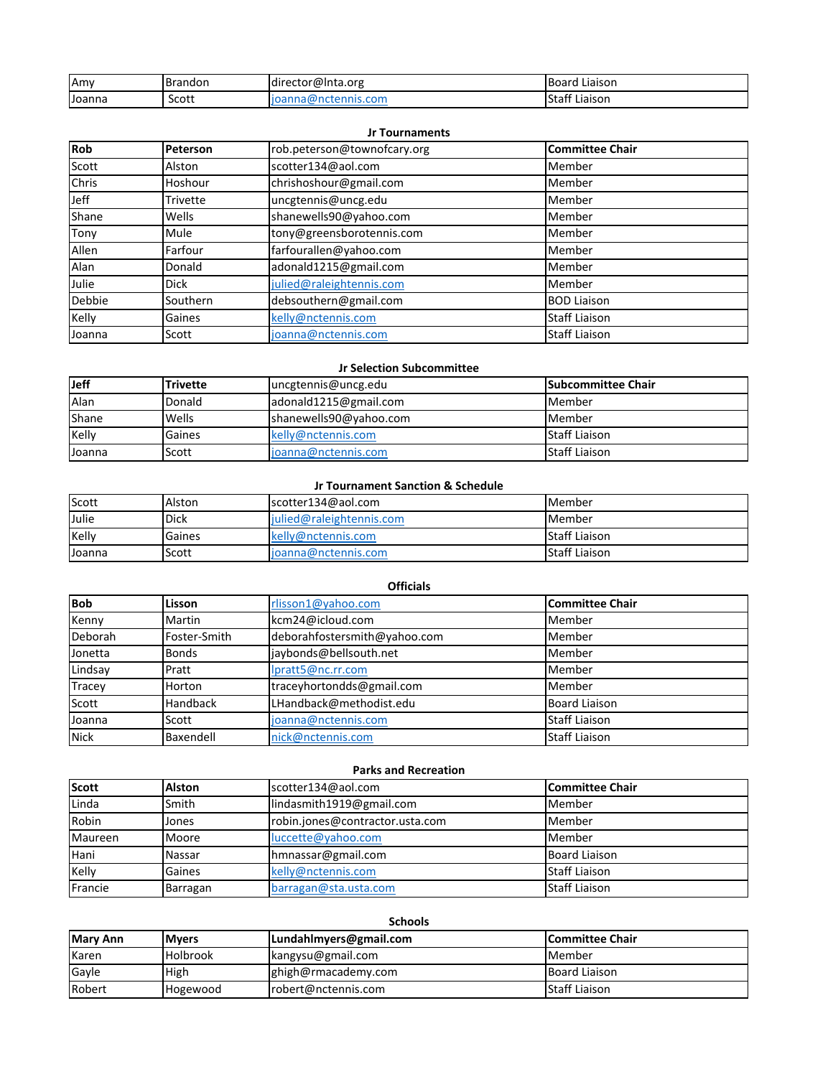| Amv    | Brandon | director@Inta.org             | <b>Board</b><br>Liaison       |
|--------|---------|-------------------------------|-------------------------------|
| Joanna | Scott   | 'nctennis.com<br>nnarw<br>10d | $\cdots$<br>lStaff<br>Liaison |

### **Jr Tournaments**

| <b>Rob</b>   | Peterson    | rob.peterson@townofcary.org | <b>Committee Chair</b> |
|--------------|-------------|-----------------------------|------------------------|
| Scott        | Alston      | scotter134@aol.com          | Member                 |
| <b>Chris</b> | Hoshour     | chrishoshour@gmail.com      | Member                 |
| Jeff         | Trivette    | uncgtennis@uncg.edu         | Member                 |
| Shane        | Wells       | shanewells90@yahoo.com      | Member                 |
| Tony         | Mule        | tony@greensborotennis.com   | Member                 |
| Allen        | Farfour     | farfourallen@yahoo.com      | Member                 |
| Alan         | Donald      | adonald1215@gmail.com       | Member                 |
| Julie        | <b>Dick</b> | julied@raleightennis.com    | Member                 |
| Debbie       | Southern    | debsouthern@gmail.com       | <b>BOD Liaison</b>     |
| Kelly        | Gaines      | kelly@nctennis.com          | <b>Staff Liaison</b>   |
| Joanna       | Scott       | joanna@nctennis.com         | <b>Staff Liaison</b>   |

## **Jr Selection Subcommittee**

| <b>Jeff</b> | <b>Trivette</b> | uncgtennis@uncg.edu    | <b>ISubcommittee Chair</b> |
|-------------|-----------------|------------------------|----------------------------|
| Alan        | Donald          | adonald1215@gmail.com  | Member                     |
| Shane       | Wells           | shanewells90@yahoo.com | Member                     |
| Kelly       | Gaines          | kelly@nctennis.com     | <b>Staff Liaison</b>       |
| Joanna      | Scott           | joanna@nctennis.com    | <b>Staff Liaison</b>       |

### **Jr Tournament Sanction & Schedule**

| Scott  | Alston      | scotter134@aol.com       | <b>IMember</b>       |
|--------|-------------|--------------------------|----------------------|
| Julie  | <b>Dick</b> | julied@raleightennis.com | Member               |
| Kelly  | Gaines      | kelly@nctennis.com       | Staff Liaison        |
| Joanna | Scott       | joanna@nctennis.com      | <b>Staff Liaison</b> |

### **Officials**

| <b>Bob</b>  | <b>Lisson</b> | rlisson1@yahoo.com           | <b>Committee Chair</b> |
|-------------|---------------|------------------------------|------------------------|
| Kenny       | Martin        | kcm24@icloud.com             | Member                 |
| Deborah     | Foster-Smith  | deborahfostersmith@yahoo.com | Member                 |
| Jonetta     | <b>Bonds</b>  | jaybonds@bellsouth.net       | Member                 |
| Lindsay     | Pratt         | lpratt5@nc.rr.com            | Member                 |
| Tracey      | Horton        | traceyhortondds@gmail.com    | Member                 |
| Scott       | Handback      | LHandback@methodist.edu      | <b>Board Liaison</b>   |
| Joanna      | Scott         | joanna@nctennis.com          | <b>Staff Liaison</b>   |
| <b>Nick</b> | Baxendell     | nick@nctennis.com            | <b>Staff Liaison</b>   |

## **Parks and Recreation**

| <b>Scott</b> | <b>Alston</b> | scotter134@aol.com              | lCommittee Chair     |
|--------------|---------------|---------------------------------|----------------------|
| Linda        | Smith         | lindasmith1919@gmail.com        | Member               |
| Robin        | Jones         | robin.jones@contractor.usta.com | Member               |
| Maureen      | Moore         | luccette@yahoo.com              | Member               |
| Hani         | Nassar        | hmnassar@gmail.com              | <b>Board Liaison</b> |
| Kelly        | Gaines        | kelly@nctennis.com              | <b>Staff Liaison</b> |
| Francie      | Barragan      | barragan@sta.usta.com           | <b>Staff Liaison</b> |

# **Schools**

| <b>Mary Ann</b> | <b>Mvers</b>    | Lundahlmyers@gmail.com | lCommittee Chair |
|-----------------|-----------------|------------------------|------------------|
| Karen           | <b>Holbrook</b> | kangysu@gmail.com      | l Member         |
| Gayle           | High            | Ighigh@rmacademy.com   | Board Liaison    |
| Robert          | Hogewood        | robert@nctennis.com    | Staff Liaison    |